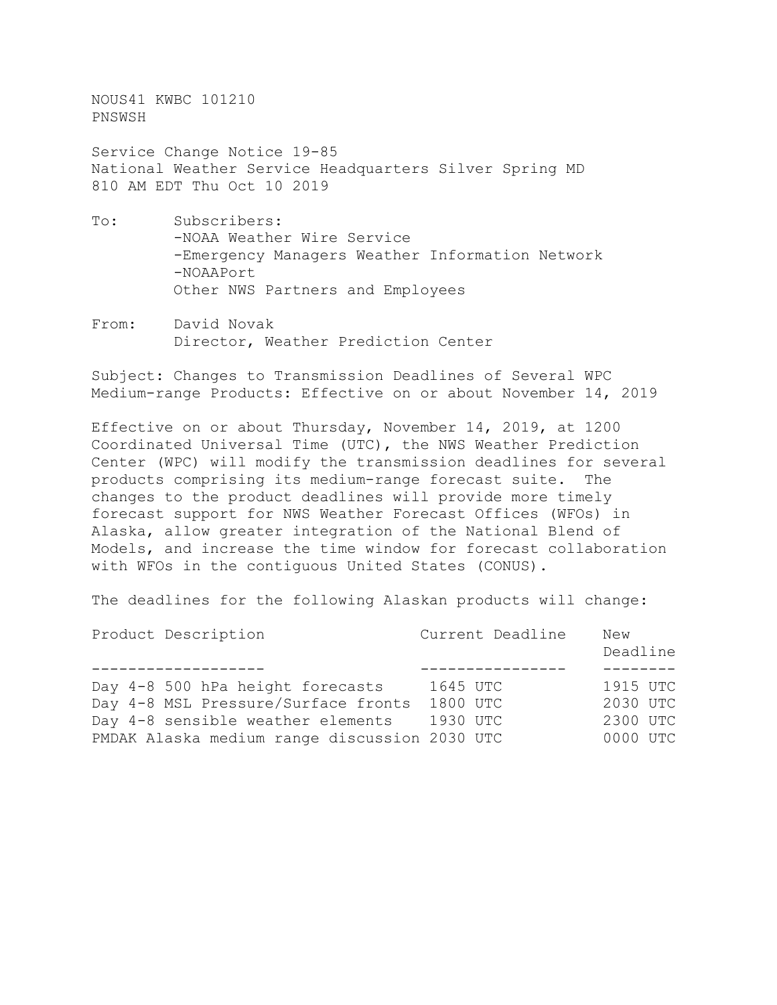NOUS41 KWBC 101210 PNSWSH

Service Change Notice 19-85 National Weather Service Headquarters Silver Spring MD 810 AM EDT Thu Oct 10 2019

- To: Subscribers: -NOAA Weather Wire Service -Emergency Managers Weather Information Network -NOAAPort Other NWS Partners and Employees
- From: David Novak Director, Weather Prediction Center

Subject: Changes to Transmission Deadlines of Several WPC Medium-range Products: Effective on or about November 14, 2019

Effective on or about Thursday, November 14, 2019, at 1200 Coordinated Universal Time (UTC), the NWS Weather Prediction Center (WPC) will modify the transmission deadlines for several products comprising its medium-range forecast suite. The changes to the product deadlines will provide more timely forecast support for NWS Weather Forecast Offices (WFOs) in Alaska, allow greater integration of the National Blend of Models, and increase the time window for forecast collaboration with WFOs in the contiguous United States (CONUS).

The deadlines for the following Alaskan products will change:

| Product Description                           | Current Deadline | New<br>Deadline |
|-----------------------------------------------|------------------|-----------------|
|                                               |                  |                 |
| Day 4-8 500 hPa height forecasts              | 1645 UTC         | 1915 UTC        |
| Day 4-8 MSL Pressure/Surface fronts           | 1800 UTC         | 2030 UTC        |
| Day 4-8 sensible weather elements             | 1930 UTC         | 2300 UTC        |
| PMDAK Alaska medium range discussion 2030 UTC |                  | 0000 UTC        |